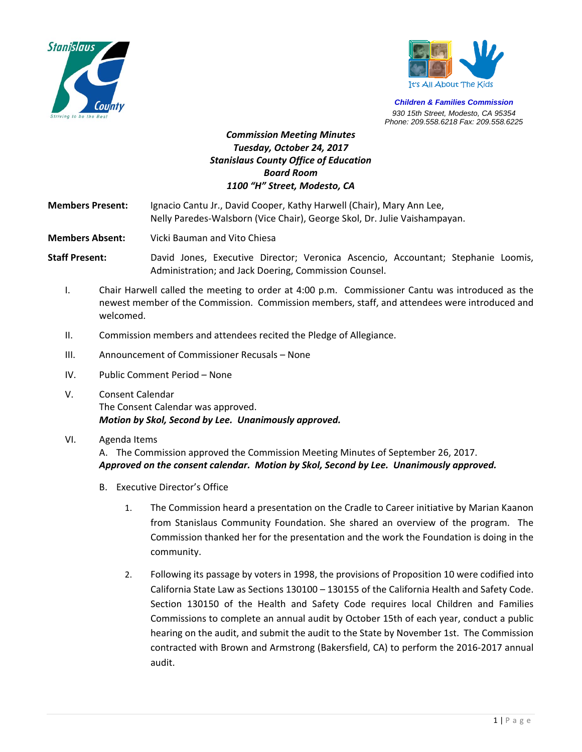



*Children & Families Commission 930 15th Street, Modesto, CA 95354 Phone: 209.558.6218 Fax: 209.558.6225*

# *Commission Meeting Minutes Tuesday, October 24, 2017 Stanislaus County Office of Education Board Room 1100 "H" Street, Modesto, CA*

**Members Present:**  Ignacio Cantu Jr., David Cooper, Kathy Harwell (Chair), Mary Ann Lee,  Nelly Paredes‐Walsborn (Vice Chair), George Skol, Dr. Julie Vaishampayan.

**Members Absent:** Vicki Bauman and Vito Chiesa

**Staff Present:** David Jones, Executive Director; Veronica Ascencio, Accountant; Stephanie Loomis, Administration; and Jack Doering, Commission Counsel.

- I. Chair Harwell called the meeting to order at 4:00 p.m. Commissioner Cantu was introduced as the newest member of the Commission. Commission members, staff, and attendees were introduced and welcomed.
- II. Commission members and attendees recited the Pledge of Allegiance.
- III. Announcement of Commissioner Recusals None
- IV. Public Comment Period None
- V. Consent Calendar The Consent Calendar was approved. *Motion by Skol, Second by Lee. Unanimously approved.*

#### VI. Agenda Items

A. The Commission approved the Commission Meeting Minutes of September 26, 2017. *Approved on the consent calendar. Motion by Skol, Second by Lee. Unanimously approved.* 

- B. Executive Director's Office
	- 1. The Commission heard a presentation on the Cradle to Career initiative by Marian Kaanon from Stanislaus Community Foundation. She shared an overview of the program. The Commission thanked her for the presentation and the work the Foundation is doing in the community.
	- 2. Following its passage by voters in 1998, the provisions of Proposition 10 were codified into California State Law as Sections 130100 – 130155 of the California Health and Safety Code. Section 130150 of the Health and Safety Code requires local Children and Families Commissions to complete an annual audit by October 15th of each year, conduct a public hearing on the audit, and submit the audit to the State by November 1st. The Commission contracted with Brown and Armstrong (Bakersfield, CA) to perform the 2016‐2017 annual audit.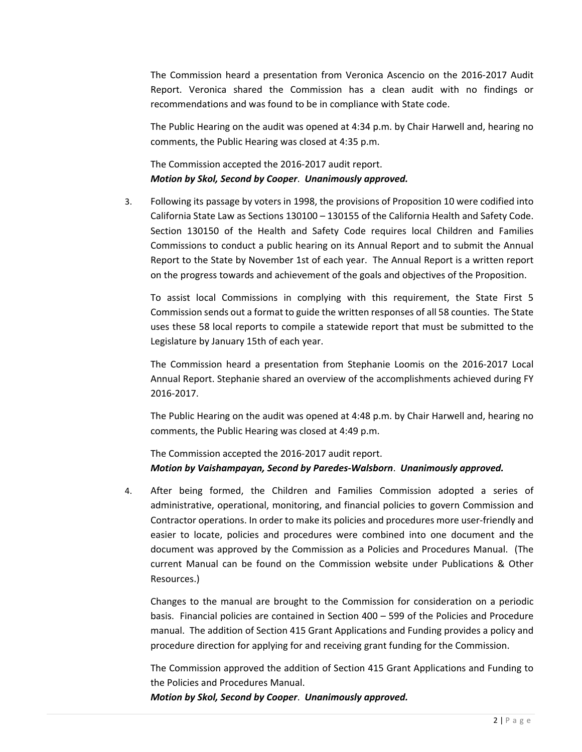The Commission heard a presentation from Veronica Ascencio on the 2016‐2017 Audit Report. Veronica shared the Commission has a clean audit with no findings or recommendations and was found to be in compliance with State code.

The Public Hearing on the audit was opened at 4:34 p.m. by Chair Harwell and, hearing no comments, the Public Hearing was closed at 4:35 p.m.

The Commission accepted the 2016‐2017 audit report. *Motion by Skol, Second by Cooper*. *Unanimously approved.* 

3. Following its passage by voters in 1998, the provisions of Proposition 10 were codified into California State Law as Sections 130100 – 130155 of the California Health and Safety Code. Section 130150 of the Health and Safety Code requires local Children and Families Commissions to conduct a public hearing on its Annual Report and to submit the Annual Report to the State by November 1st of each year. The Annual Report is a written report on the progress towards and achievement of the goals and objectives of the Proposition.

To assist local Commissions in complying with this requirement, the State First 5 Commission sends out a format to guide the written responses of all 58 counties. The State uses these 58 local reports to compile a statewide report that must be submitted to the Legislature by January 15th of each year.

The Commission heard a presentation from Stephanie Loomis on the 2016‐2017 Local Annual Report. Stephanie shared an overview of the accomplishments achieved during FY 2016‐2017.

The Public Hearing on the audit was opened at 4:48 p.m. by Chair Harwell and, hearing no comments, the Public Hearing was closed at 4:49 p.m.

The Commission accepted the 2016‐2017 audit report. *Motion by Vaishampayan, Second by Paredes‐Walsborn*. *Unanimously approved.*

4. After being formed, the Children and Families Commission adopted a series of administrative, operational, monitoring, and financial policies to govern Commission and Contractor operations. In order to make its policies and procedures more user‐friendly and easier to locate, policies and procedures were combined into one document and the document was approved by the Commission as a Policies and Procedures Manual. (The current Manual can be found on the Commission website under Publications & Other Resources.)

Changes to the manual are brought to the Commission for consideration on a periodic basis. Financial policies are contained in Section 400 – 599 of the Policies and Procedure manual. The addition of Section 415 Grant Applications and Funding provides a policy and procedure direction for applying for and receiving grant funding for the Commission.

The Commission approved the addition of Section 415 Grant Applications and Funding to the Policies and Procedures Manual.

*Motion by Skol, Second by Cooper*. *Unanimously approved.*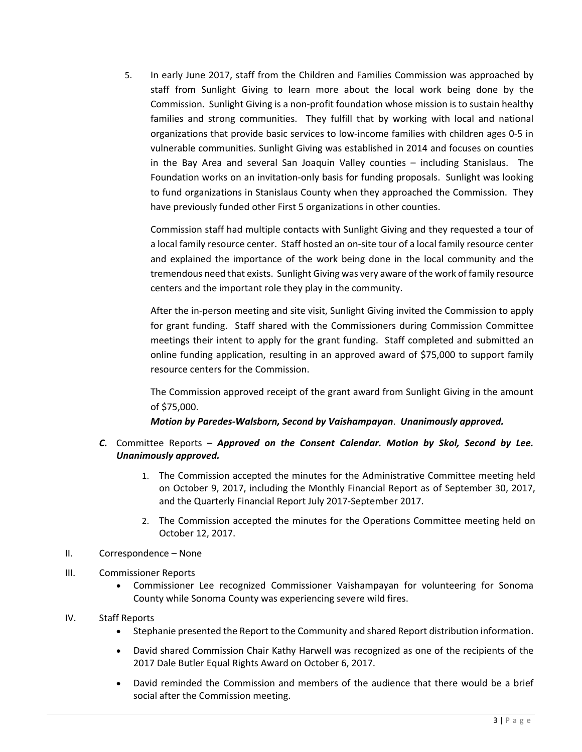5. In early June 2017, staff from the Children and Families Commission was approached by staff from Sunlight Giving to learn more about the local work being done by the Commission. Sunlight Giving is a non‐profit foundation whose mission is to sustain healthy families and strong communities. They fulfill that by working with local and national organizations that provide basic services to low‐income families with children ages 0‐5 in vulnerable communities. Sunlight Giving was established in 2014 and focuses on counties in the Bay Area and several San Joaquin Valley counties – including Stanislaus. The Foundation works on an invitation-only basis for funding proposals. Sunlight was looking to fund organizations in Stanislaus County when they approached the Commission. They have previously funded other First 5 organizations in other counties.

Commission staff had multiple contacts with Sunlight Giving and they requested a tour of a local family resource center. Staff hosted an on-site tour of a local family resource center and explained the importance of the work being done in the local community and the tremendous need that exists. Sunlight Giving was very aware of the work of family resource centers and the important role they play in the community.

After the in‐person meeting and site visit, Sunlight Giving invited the Commission to apply for grant funding. Staff shared with the Commissioners during Commission Committee meetings their intent to apply for the grant funding. Staff completed and submitted an online funding application, resulting in an approved award of \$75,000 to support family resource centers for the Commission.

The Commission approved receipt of the grant award from Sunlight Giving in the amount of \$75,000.

## *Motion by Paredes‐Walsborn, Second by Vaishampayan*. *Unanimously approved.*

## *C.* Committee Reports – *Approved on the Consent Calendar. Motion by Skol, Second by Lee. Unanimously approved.*

- 1. The Commission accepted the minutes for the Administrative Committee meeting held on October 9, 2017, including the Monthly Financial Report as of September 30, 2017, and the Quarterly Financial Report July 2017‐September 2017.
- 2. The Commission accepted the minutes for the Operations Committee meeting held on October 12, 2017.
- II. Correspondence None
- III. Commissioner Reports
	- Commissioner Lee recognized Commissioner Vaishampayan for volunteering for Sonoma County while Sonoma County was experiencing severe wild fires.

#### IV. Staff Reports

- Stephanie presented the Report to the Community and shared Report distribution information.
- David shared Commission Chair Kathy Harwell was recognized as one of the recipients of the 2017 Dale Butler Equal Rights Award on October 6, 2017.
- David reminded the Commission and members of the audience that there would be a brief social after the Commission meeting.